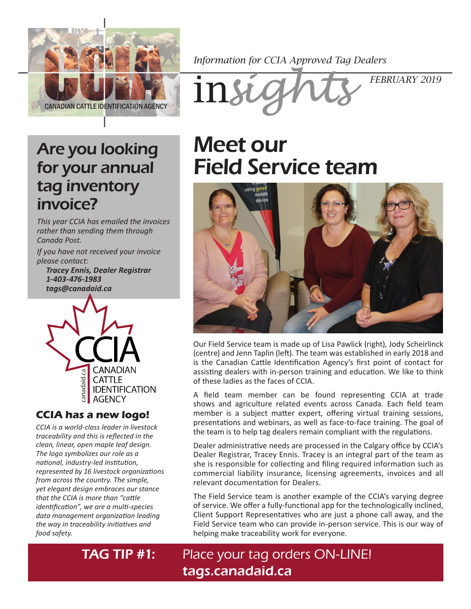

*Information for CCIA Approved Tag Dealers*



### Are you looking for your annual tag inventory invoice?

*This year CCIA has emailed the invoices rather than sending them through Canada Post.*

*If you have not received your invoice please contact: Tracey Ennis, Dealer Registrar 1-403-476-1983 tags@canadaid.ca*



#### **CCIA has a new logo!**

*CCIA is a world-class leader in livestock traceability and this is reflected in the clean, linear, open maple leaf design. The logo symbolizes our role as a national, industry-led institution, represented by 16 livestock organizations from across the country. The simple, yet elegant design embraces our stance that the CCIA is more than "cattle identification", we are a multi-species data management organization leading the way in traceability initiatives and food safety.*

# Meet our Field Service team



Our Field Service team is made up of Lisa Pawlick (right), Jody Scheirlinck (centre) and Jenn Taplin (left). The team was established in early 2018 and is the Canadian Cattle Identification Agency's first point of contact for assisting dealers with in-person training and education. We like to think of these ladies as the faces of CCIA.

A field team member can be found representing CCIA at trade shows and agriculture related events across Canada. Each field team member is a subject matter expert, offering virtual training sessions, presentations and webinars, as well as face-to-face training. The goal of the team is to help tag dealers remain compliant with the regulations.

Dealer administrative needs are processed in the Calgary office by CCIA's Dealer Registrar, Tracey Ennis. Tracey is an integral part of the team as she is responsible for collecting and filing required information such as commercial liability insurance, licensing agreements, invoices and all relevant documentation for Dealers.

The Field Service team is another example of the CCIA's varying degree of service. We offer a fully-functional app for the technologically inclined, Client Support Representatives who are just a phone call away, and the Field Service team who can provide in-person service. This is our way of helping make traceability work for everyone.

### **TAG TIP #1:** Place your tag orders ON-LINE! [tags.canadaid.ca](http://tags.canadaid.ca)